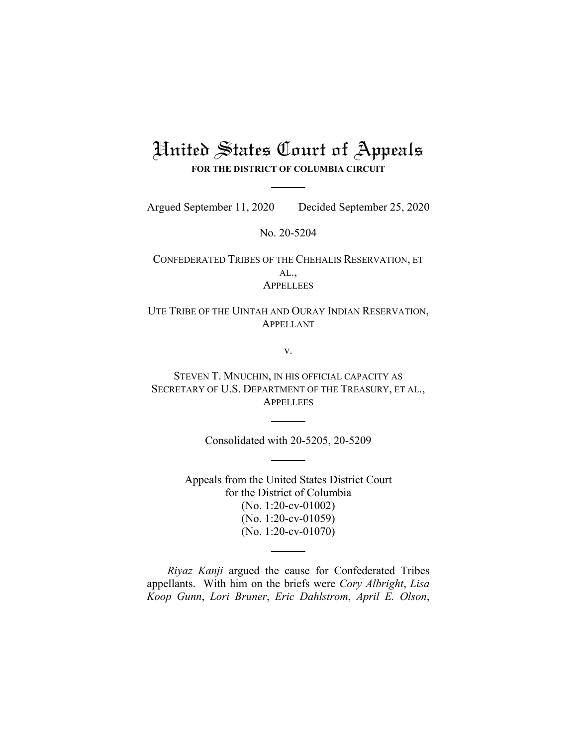# United States Court of Appeals **FOR THE DISTRICT OF COLUMBIA CIRCUIT**

Argued September 11, 2020 Decided September 25, 2020

No. 20-5204

CONFEDERATED TRIBES OF THE CHEHALIS RESERVATION, ET AL., **APPELLEES** 

UTE TRIBE OF THE UINTAH AND OURAY INDIAN RESERVATION, APPELLANT

v.

STEVEN T. MNUCHIN, IN HIS OFFICIAL CAPACITY AS SECRETARY OF U.S. DEPARTMENT OF THE TREASURY, ET AL., **APPELLEES** 

Consolidated with 20-5205, 20-5209

Appeals from the United States District Court for the District of Columbia (No. 1:20-cv-01002) (No. 1:20-cv-01059) (No. 1:20-cv-01070)

*Riyaz Kanji* argued the cause for Confederated Tribes appellants. With him on the briefs were *Cory Albright*, *Lisa Koop Gunn*, *Lori Bruner*, *Eric Dahlstrom*, *April E. Olson*,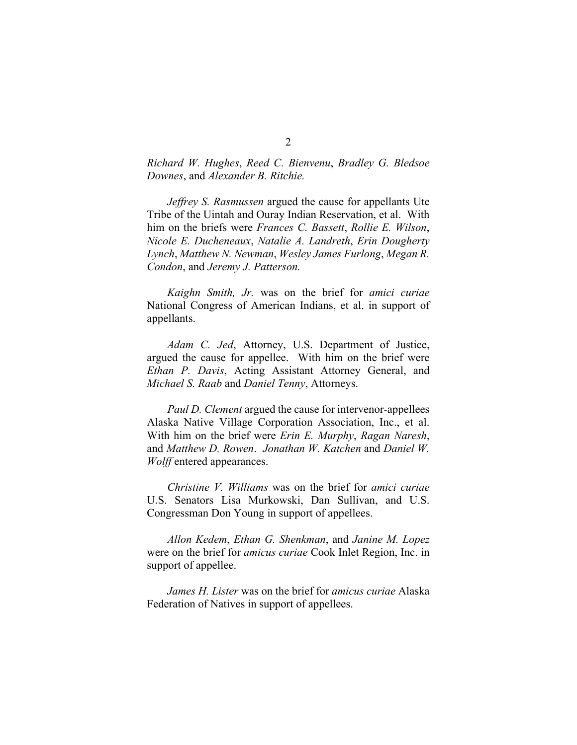## *Richard W. Hughes*, *Reed C. Bienvenu*, *Bradley G. Bledsoe Downes*, and *Alexander B. Ritchie.*

*Jeffrey S. Rasmussen* argued the cause for appellants Ute Tribe of the Uintah and Ouray Indian Reservation, et al. With him on the briefs were *Frances C. Bassett*, *Rollie E. Wilson*, *Nicole E. Ducheneaux*, *Natalie A. Landreth*, *Erin Dougherty Lynch*, *Matthew N. Newman*, *Wesley James Furlong*, *Megan R. Condon*, and *Jeremy J. Patterson.*

*Kaighn Smith, Jr.* was on the brief for *amici curiae*  National Congress of American Indians, et al. in support of appellants.

*Adam C. Jed*, Attorney, U.S. Department of Justice, argued the cause for appellee. With him on the brief were *Ethan P. Davis*, Acting Assistant Attorney General, and *Michael S. Raab* and *Daniel Tenny*, Attorneys.

*Paul D. Clement* argued the cause for intervenor-appellees Alaska Native Village Corporation Association, Inc., et al. With him on the brief were *Erin E. Murphy*, *Ragan Naresh*, and *Matthew D. Rowen*. *Jonathan W. Katchen* and *Daniel W. Wolff* entered appearances.

*Christine V. Williams* was on the brief for *amici curiae* U.S. Senators Lisa Murkowski, Dan Sullivan, and U.S. Congressman Don Young in support of appellees.

*Allon Kedem*, *Ethan G. Shenkman*, and *Janine M. Lopez*  were on the brief for *amicus curiae* Cook Inlet Region, Inc. in support of appellee.

*James H. Lister* was on the brief for *amicus curiae* Alaska Federation of Natives in support of appellees.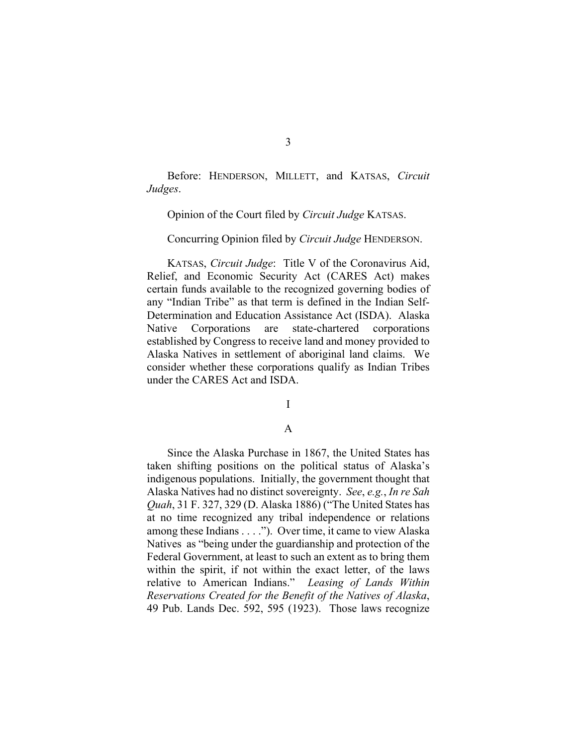Before: HENDERSON, MILLETT, and KATSAS, *Circuit Judges*.

Opinion of the Court filed by *Circuit Judge* KATSAS.

Concurring Opinion filed by *Circuit Judge* HENDERSON.

KATSAS, *Circuit Judge*: Title V of the Coronavirus Aid, Relief, and Economic Security Act (CARES Act) makes certain funds available to the recognized governing bodies of any "Indian Tribe" as that term is defined in the Indian Self-Determination and Education Assistance Act (ISDA). Alaska Native Corporations are state-chartered corporations established by Congress to receive land and money provided to Alaska Natives in settlement of aboriginal land claims. We consider whether these corporations qualify as Indian Tribes under the CARES Act and ISDA.

I

#### A

Since the Alaska Purchase in 1867, the United States has taken shifting positions on the political status of Alaska's indigenous populations. Initially, the government thought that Alaska Natives had no distinct sovereignty. *See*, *e.g.*, *In re Sah Quah*, 31 F. 327, 329 (D. Alaska 1886) ("The United States has at no time recognized any tribal independence or relations among these Indians . . . ."). Over time, it came to view Alaska Natives as "being under the guardianship and protection of the Federal Government, at least to such an extent as to bring them within the spirit, if not within the exact letter, of the laws relative to American Indians." *Leasing of Lands Within Reservations Created for the Benefit of the Natives of Alaska*, 49 Pub. Lands Dec. 592, 595 (1923). Those laws recognize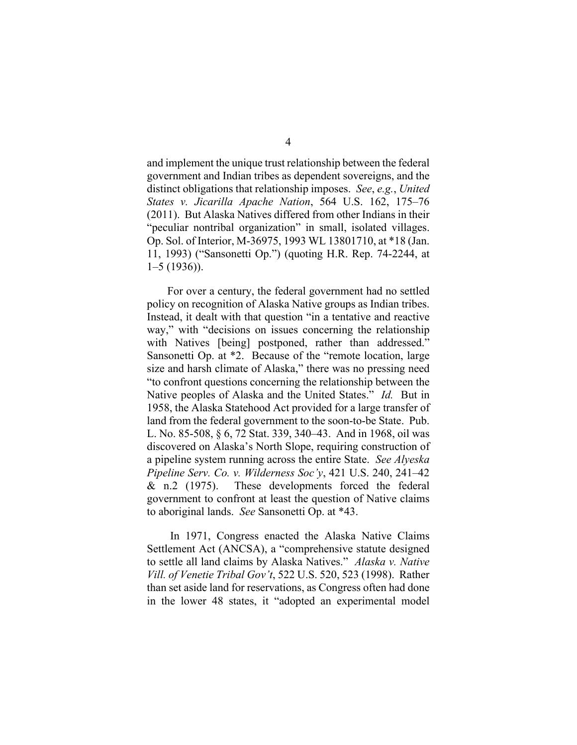and implement the unique trust relationship between the federal government and Indian tribes as dependent sovereigns, and the distinct obligations that relationship imposes. *See*, *e.g.*, *United States v. Jicarilla Apache Nation*, 564 U.S. 162, 175–76 (2011). But Alaska Natives differed from other Indians in their "peculiar nontribal organization" in small, isolated villages. Op. Sol. of Interior, M-36975, 1993 WL 13801710, at \*18 (Jan. 11, 1993) ("Sansonetti Op.") (quoting H.R. Rep. 74-2244, at 1–5 (1936)).

For over a century, the federal government had no settled policy on recognition of Alaska Native groups as Indian tribes. Instead, it dealt with that question "in a tentative and reactive way," with "decisions on issues concerning the relationship with Natives [being] postponed, rather than addressed." Sansonetti Op. at \*2. Because of the "remote location, large size and harsh climate of Alaska," there was no pressing need "to confront questions concerning the relationship between the Native peoples of Alaska and the United States." *Id.* But in 1958, the Alaska Statehood Act provided for a large transfer of land from the federal government to the soon-to-be State. Pub. L. No. 85-508, § 6, 72 Stat. 339, 340–43. And in 1968, oil was discovered on Alaska's North Slope, requiring construction of a pipeline system running across the entire State. *See Alyeska Pipeline Serv. Co. v. Wilderness Soc'y*, 421 U.S. 240, 241–42 & n.2 (1975). These developments forced the federal government to confront at least the question of Native claims to aboriginal lands. *See* Sansonetti Op. at \*43.

In 1971, Congress enacted the Alaska Native Claims Settlement Act (ANCSA), a "comprehensive statute designed to settle all land claims by Alaska Natives." *Alaska v. Native Vill. of Venetie Tribal Gov't*, 522 U.S. 520, 523 (1998). Rather than set aside land for reservations, as Congress often had done in the lower 48 states, it "adopted an experimental model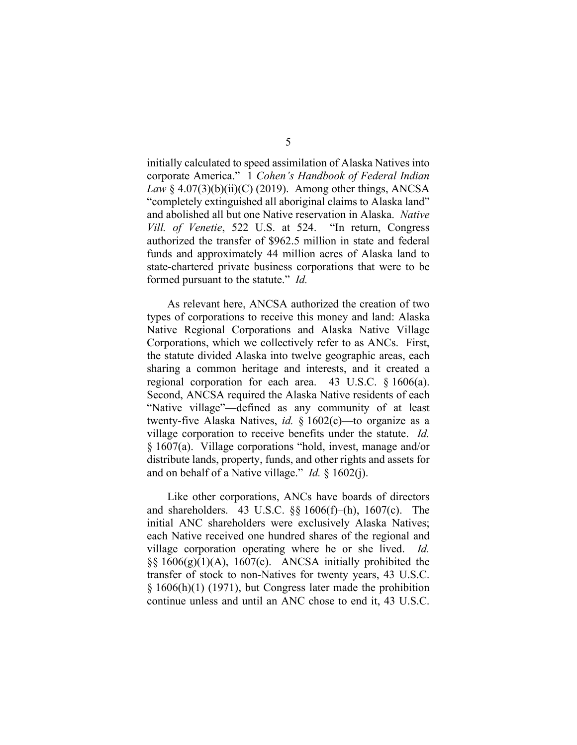initially calculated to speed assimilation of Alaska Natives into corporate America." 1 *Cohen's Handbook of Federal Indian Law* § 4.07(3)(b)(ii)(C) (2019). Among other things, ANCSA "completely extinguished all aboriginal claims to Alaska land" and abolished all but one Native reservation in Alaska. *Native Vill. of Venetie*, 522 U.S. at 524. "In return, Congress authorized the transfer of \$962.5 million in state and federal funds and approximately 44 million acres of Alaska land to state-chartered private business corporations that were to be formed pursuant to the statute." *Id.*

As relevant here, ANCSA authorized the creation of two types of corporations to receive this money and land: Alaska Native Regional Corporations and Alaska Native Village Corporations, which we collectively refer to as ANCs. First, the statute divided Alaska into twelve geographic areas, each sharing a common heritage and interests, and it created a regional corporation for each area. 43 U.S.C. § 1606(a). Second, ANCSA required the Alaska Native residents of each "Native village"—defined as any community of at least twenty-five Alaska Natives, *id.* § 1602(c)—to organize as a village corporation to receive benefits under the statute. *Id.* § 1607(a). Village corporations "hold, invest, manage and/or distribute lands, property, funds, and other rights and assets for and on behalf of a Native village." *Id.* § 1602(j).

Like other corporations, ANCs have boards of directors and shareholders. 43 U.S.C. §§ 1606(f)–(h), 1607(c). The initial ANC shareholders were exclusively Alaska Natives; each Native received one hundred shares of the regional and village corporation operating where he or she lived. *Id.*  $\S$ § 1606(g)(1)(A), 1607(c). ANCSA initially prohibited the transfer of stock to non-Natives for twenty years, 43 U.S.C. § 1606(h)(1) (1971), but Congress later made the prohibition continue unless and until an ANC chose to end it, 43 U.S.C.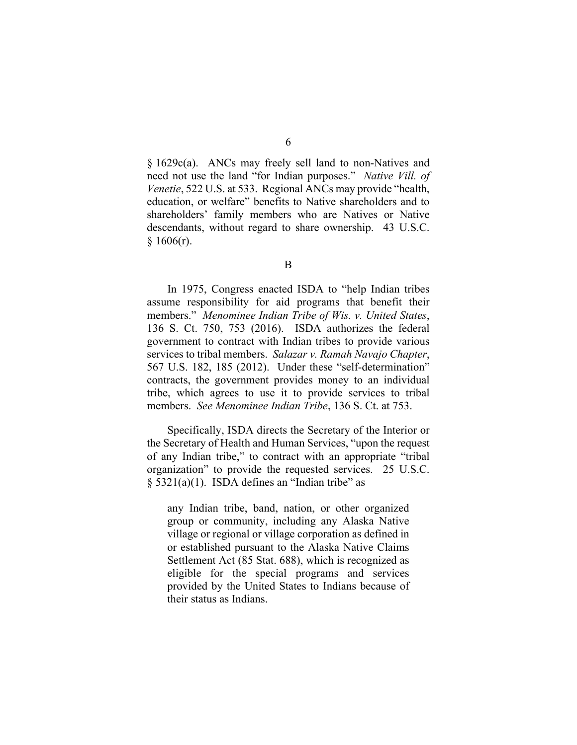§ 1629c(a). ANCs may freely sell land to non-Natives and need not use the land "for Indian purposes." *Native Vill. of Venetie*, 522 U.S. at 533. Regional ANCs may provide "health, education, or welfare" benefits to Native shareholders and to shareholders' family members who are Natives or Native descendants, without regard to share ownership. 43 U.S.C.  $§ 1606(r).$ 

In 1975, Congress enacted ISDA to "help Indian tribes assume responsibility for aid programs that benefit their members." *Menominee Indian Tribe of Wis. v. United States*, 136 S. Ct. 750, 753 (2016). ISDA authorizes the federal government to contract with Indian tribes to provide various services to tribal members. *Salazar v. Ramah Navajo Chapter*, 567 U.S. 182, 185 (2012). Under these "self-determination" contracts, the government provides money to an individual tribe, which agrees to use it to provide services to tribal members. *See Menominee Indian Tribe*, 136 S. Ct. at 753.

Specifically, ISDA directs the Secretary of the Interior or the Secretary of Health and Human Services, "upon the request of any Indian tribe," to contract with an appropriate "tribal organization" to provide the requested services. 25 U.S.C.  $§$  5321(a)(1). ISDA defines an "Indian tribe" as

any Indian tribe, band, nation, or other organized group or community, including any Alaska Native village or regional or village corporation as defined in or established pursuant to the Alaska Native Claims Settlement Act (85 Stat. 688), which is recognized as eligible for the special programs and services provided by the United States to Indians because of their status as Indians.

B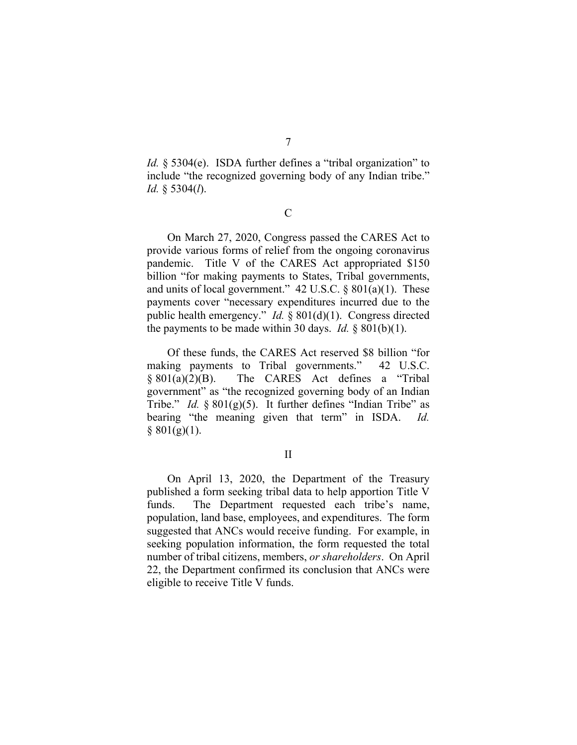7

*Id.* § 5304(e). ISDA further defines a "tribal organization" to include "the recognized governing body of any Indian tribe." *Id.* § 5304(*l*).

C

On March 27, 2020, Congress passed the CARES Act to provide various forms of relief from the ongoing coronavirus pandemic. Title V of the CARES Act appropriated \$150 billion "for making payments to States, Tribal governments, and units of local government."  $42 \text{ U.S.C.}$  §  $801(a)(1)$ . These payments cover "necessary expenditures incurred due to the public health emergency." *Id.* § 801(d)(1). Congress directed the payments to be made within 30 days. *Id.*  $\S 801(b)(1)$ .

Of these funds, the CARES Act reserved \$8 billion "for making payments to Tribal governments." 42 U.S.C. § 801(a)(2)(B). The CARES Act defines a "Tribal government" as "the recognized governing body of an Indian Tribe." *Id.* § 801(g)(5). It further defines "Indian Tribe" as bearing "the meaning given that term" in ISDA. *Id.*  $§ 801(g)(1).$ 

II

On April 13, 2020, the Department of the Treasury published a form seeking tribal data to help apportion Title V funds. The Department requested each tribe's name, population, land base, employees, and expenditures. The form suggested that ANCs would receive funding. For example, in seeking population information, the form requested the total number of tribal citizens, members, *or shareholders*. On April 22, the Department confirmed its conclusion that ANCs were eligible to receive Title V funds.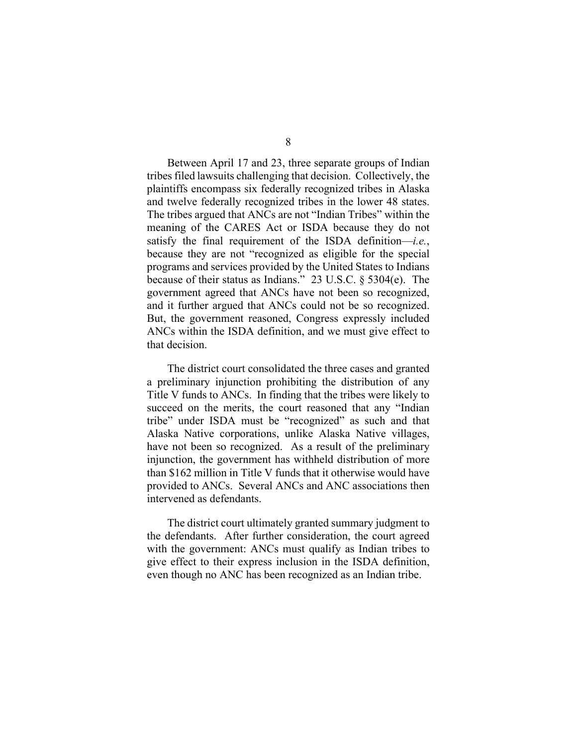Between April 17 and 23, three separate groups of Indian tribes filed lawsuits challenging that decision. Collectively, the plaintiffs encompass six federally recognized tribes in Alaska and twelve federally recognized tribes in the lower 48 states. The tribes argued that ANCs are not "Indian Tribes" within the meaning of the CARES Act or ISDA because they do not satisfy the final requirement of the ISDA definition—*i.e.*, because they are not "recognized as eligible for the special programs and services provided by the United States to Indians because of their status as Indians." 23 U.S.C. § 5304(e). The government agreed that ANCs have not been so recognized, and it further argued that ANCs could not be so recognized. But, the government reasoned, Congress expressly included ANCs within the ISDA definition, and we must give effect to that decision.

The district court consolidated the three cases and granted a preliminary injunction prohibiting the distribution of any Title V funds to ANCs. In finding that the tribes were likely to succeed on the merits, the court reasoned that any "Indian tribe" under ISDA must be "recognized" as such and that Alaska Native corporations, unlike Alaska Native villages, have not been so recognized. As a result of the preliminary injunction, the government has withheld distribution of more than \$162 million in Title V funds that it otherwise would have provided to ANCs. Several ANCs and ANC associations then intervened as defendants.

The district court ultimately granted summary judgment to the defendants. After further consideration, the court agreed with the government: ANCs must qualify as Indian tribes to give effect to their express inclusion in the ISDA definition, even though no ANC has been recognized as an Indian tribe.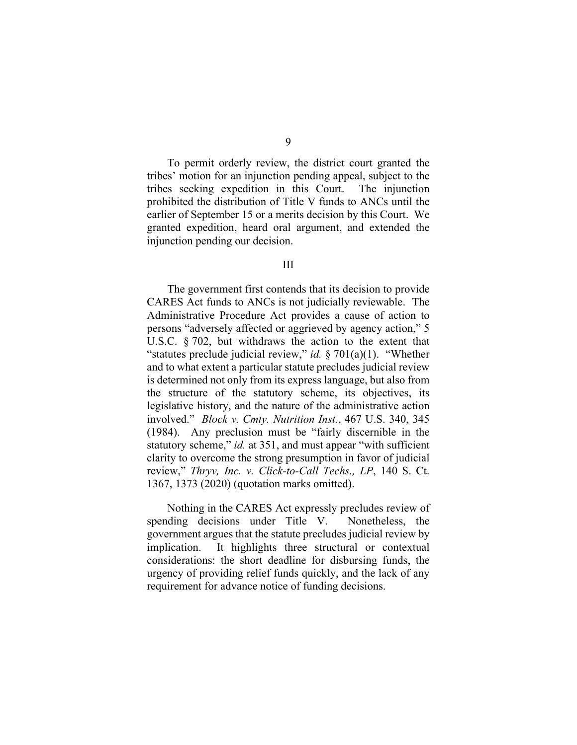To permit orderly review, the district court granted the tribes' motion for an injunction pending appeal, subject to the tribes seeking expedition in this Court. The injunction prohibited the distribution of Title V funds to ANCs until the earlier of September 15 or a merits decision by this Court. We granted expedition, heard oral argument, and extended the injunction pending our decision.

#### III

The government first contends that its decision to provide CARES Act funds to ANCs is not judicially reviewable. The Administrative Procedure Act provides a cause of action to persons "adversely affected or aggrieved by agency action," 5 U.S.C. § 702, but withdraws the action to the extent that "statutes preclude judicial review," *id.* § 701(a)(1). "Whether and to what extent a particular statute precludes judicial review is determined not only from its express language, but also from the structure of the statutory scheme, its objectives, its legislative history, and the nature of the administrative action involved." *Block v. Cmty. Nutrition Inst.*, 467 U.S. 340, 345 (1984). Any preclusion must be "fairly discernible in the statutory scheme," *id.* at 351, and must appear "with sufficient" clarity to overcome the strong presumption in favor of judicial review," *Thryv, Inc. v. Click-to-Call Techs., LP*, 140 S. Ct. 1367, 1373 (2020) (quotation marks omitted).

Nothing in the CARES Act expressly precludes review of spending decisions under Title V. Nonetheless, the government argues that the statute precludes judicial review by implication. It highlights three structural or contextual considerations: the short deadline for disbursing funds, the urgency of providing relief funds quickly, and the lack of any requirement for advance notice of funding decisions.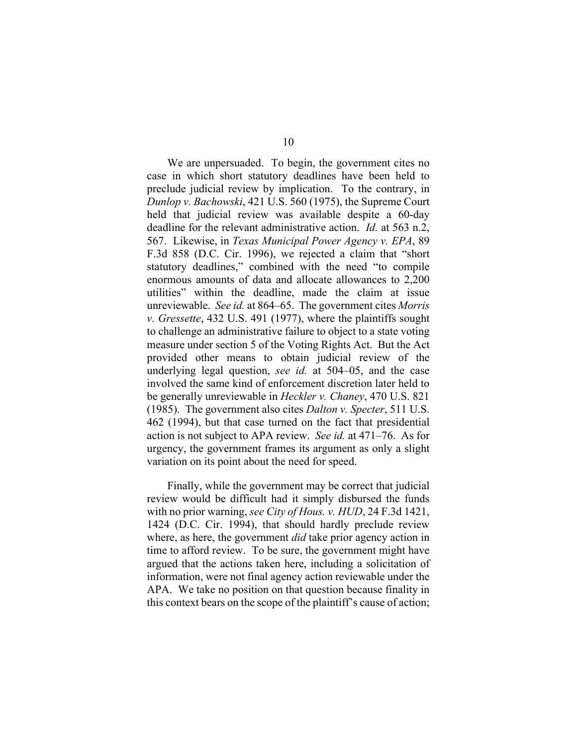We are unpersuaded. To begin, the government cites no case in which short statutory deadlines have been held to preclude judicial review by implication. To the contrary, in *Dunlop v. Bachowski*, 421 U.S. 560 (1975), the Supreme Court held that judicial review was available despite a 60-day deadline for the relevant administrative action. *Id.* at 563 n.2, 567. Likewise, in *Texas Municipal Power Agency v. EPA*, 89 F.3d 858 (D.C. Cir. 1996), we rejected a claim that "short statutory deadlines," combined with the need "to compile enormous amounts of data and allocate allowances to 2,200 utilities" within the deadline, made the claim at issue unreviewable. *See id.* at 864–65. The government cites *Morris v. Gressette*, 432 U.S. 491 (1977), where the plaintiffs sought to challenge an administrative failure to object to a state voting measure under section 5 of the Voting Rights Act. But the Act provided other means to obtain judicial review of the underlying legal question, *see id.* at 504–05, and the case involved the same kind of enforcement discretion later held to be generally unreviewable in *Heckler v. Chaney*, 470 U.S. 821 (1985). The government also cites *Dalton v. Specter*, 511 U.S. 462 (1994), but that case turned on the fact that presidential action is not subject to APA review. *See id.* at 471–76. As for urgency, the government frames its argument as only a slight variation on its point about the need for speed.

Finally, while the government may be correct that judicial review would be difficult had it simply disbursed the funds with no prior warning, *see City of Hous. v. HUD*, 24 F.3d 1421, 1424 (D.C. Cir. 1994), that should hardly preclude review where, as here, the government *did* take prior agency action in time to afford review. To be sure, the government might have argued that the actions taken here, including a solicitation of information, were not final agency action reviewable under the APA. We take no position on that question because finality in this context bears on the scope of the plaintiff's cause of action;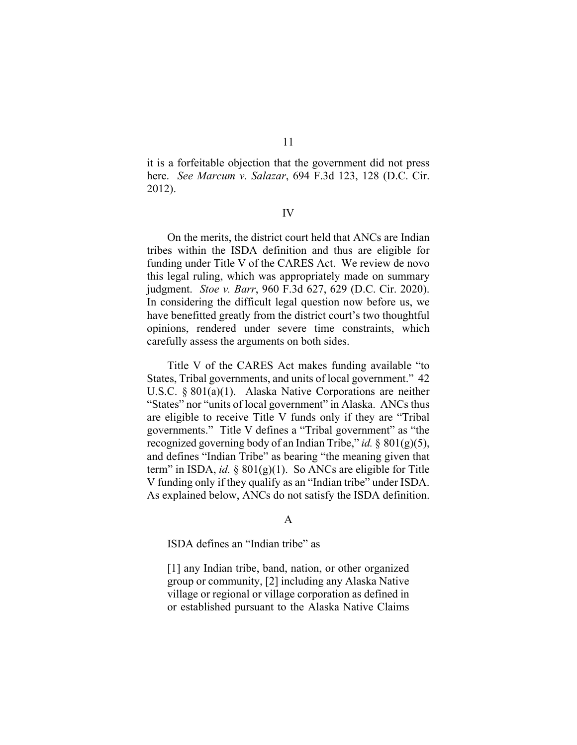it is a forfeitable objection that the government did not press here. *See Marcum v. Salazar*, 694 F.3d 123, 128 (D.C. Cir.

#### IV

2012).

On the merits, the district court held that ANCs are Indian tribes within the ISDA definition and thus are eligible for funding under Title V of the CARES Act. We review de novo this legal ruling, which was appropriately made on summary judgment. *Stoe v. Barr*, 960 F.3d 627, 629 (D.C. Cir. 2020). In considering the difficult legal question now before us, we have benefitted greatly from the district court's two thoughtful opinions, rendered under severe time constraints, which carefully assess the arguments on both sides.

Title V of the CARES Act makes funding available "to States, Tribal governments, and units of local government." 42 U.S.C. § 801(a)(1). Alaska Native Corporations are neither "States" nor "units of local government" in Alaska. ANCs thus are eligible to receive Title V funds only if they are "Tribal governments." Title V defines a "Tribal government" as "the recognized governing body of an Indian Tribe," *id.* § 801(g)(5), and defines "Indian Tribe" as bearing "the meaning given that term" in ISDA, *id.* § 801(g)(1). So ANCs are eligible for Title V funding only if they qualify as an "Indian tribe" under ISDA. As explained below, ANCs do not satisfy the ISDA definition.

#### A

ISDA defines an "Indian tribe" as

[1] any Indian tribe, band, nation, or other organized group or community, [2] including any Alaska Native village or regional or village corporation as defined in or established pursuant to the Alaska Native Claims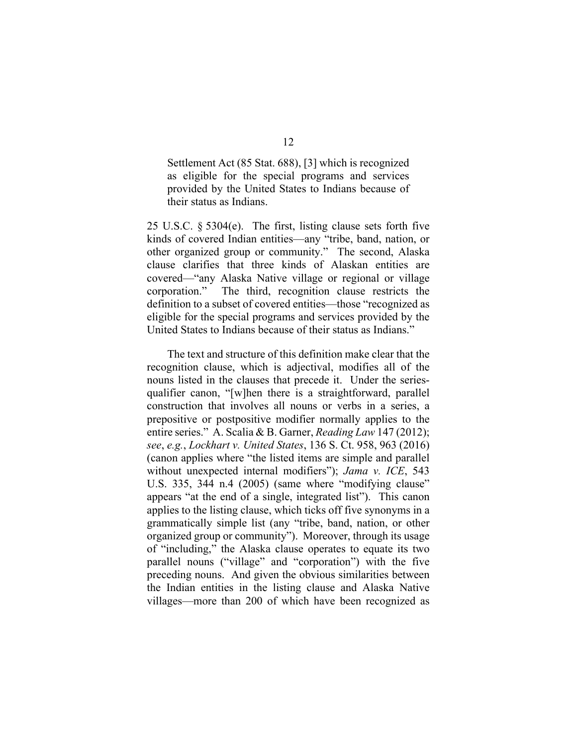Settlement Act (85 Stat. 688), [3] which is recognized as eligible for the special programs and services provided by the United States to Indians because of their status as Indians.

25 U.S.C. § 5304(e). The first, listing clause sets forth five kinds of covered Indian entities—any "tribe, band, nation, or other organized group or community." The second, Alaska clause clarifies that three kinds of Alaskan entities are covered—"any Alaska Native village or regional or village corporation." The third, recognition clause restricts the definition to a subset of covered entities—those "recognized as eligible for the special programs and services provided by the United States to Indians because of their status as Indians."

The text and structure of this definition make clear that the recognition clause, which is adjectival, modifies all of the nouns listed in the clauses that precede it. Under the seriesqualifier canon, "[w]hen there is a straightforward, parallel construction that involves all nouns or verbs in a series, a prepositive or postpositive modifier normally applies to the entire series." A. Scalia & B. Garner, *Reading Law* 147 (2012); *see*, *e.g.*, *Lockhart v. United States*, 136 S. Ct. 958, 963 (2016) (canon applies where "the listed items are simple and parallel without unexpected internal modifiers"); *Jama v. ICE*, 543 U.S. 335, 344 n.4 (2005) (same where "modifying clause" appears "at the end of a single, integrated list"). This canon applies to the listing clause, which ticks off five synonyms in a grammatically simple list (any "tribe, band, nation, or other organized group or community"). Moreover, through its usage of "including," the Alaska clause operates to equate its two parallel nouns ("village" and "corporation") with the five preceding nouns. And given the obvious similarities between the Indian entities in the listing clause and Alaska Native villages—more than 200 of which have been recognized as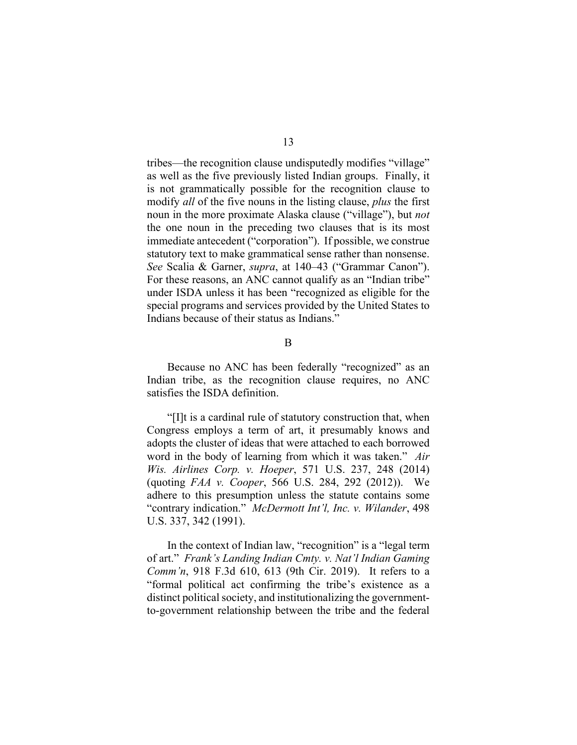tribes—the recognition clause undisputedly modifies "village" as well as the five previously listed Indian groups. Finally, it is not grammatically possible for the recognition clause to modify *all* of the five nouns in the listing clause, *plus* the first noun in the more proximate Alaska clause ("village"), but *not* the one noun in the preceding two clauses that is its most immediate antecedent ("corporation"). If possible, we construe statutory text to make grammatical sense rather than nonsense. *See* Scalia & Garner, *supra*, at 140–43 ("Grammar Canon"). For these reasons, an ANC cannot qualify as an "Indian tribe" under ISDA unless it has been "recognized as eligible for the special programs and services provided by the United States to Indians because of their status as Indians."

B

Because no ANC has been federally "recognized" as an Indian tribe, as the recognition clause requires, no ANC satisfies the ISDA definition.

"[I]t is a cardinal rule of statutory construction that, when Congress employs a term of art, it presumably knows and adopts the cluster of ideas that were attached to each borrowed word in the body of learning from which it was taken." *Air Wis. Airlines Corp. v. Hoeper*, 571 U.S. 237, 248 (2014) (quoting *FAA v. Cooper*, 566 U.S. 284, 292 (2012)). We adhere to this presumption unless the statute contains some "contrary indication." *McDermott Int'l, Inc. v. Wilander*, 498 U.S. 337, 342 (1991).

In the context of Indian law, "recognition" is a "legal term of art." *Frank's Landing Indian Cmty. v. Nat'l Indian Gaming Comm'n*, 918 F.3d 610, 613 (9th Cir. 2019). It refers to a "formal political act confirming the tribe's existence as a distinct political society, and institutionalizing the governmentto-government relationship between the tribe and the federal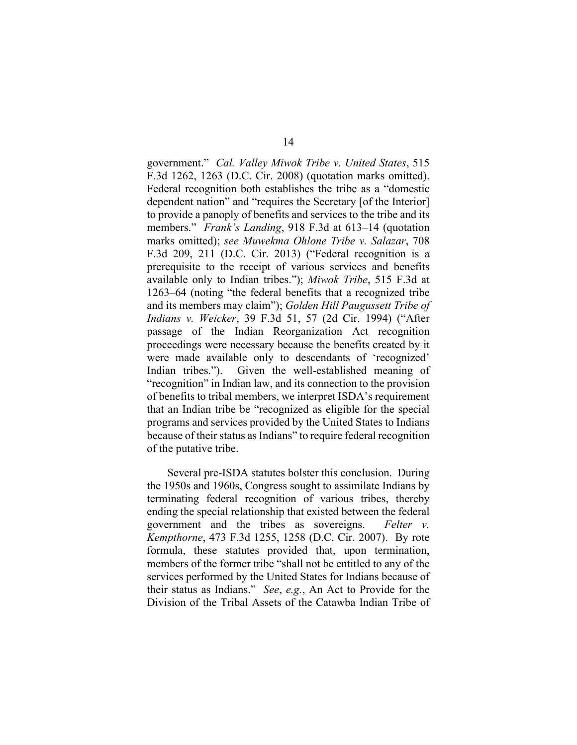government." *Cal. Valley Miwok Tribe v. United States*, 515 F.3d 1262, 1263 (D.C. Cir. 2008) (quotation marks omitted). Federal recognition both establishes the tribe as a "domestic dependent nation" and "requires the Secretary [of the Interior] to provide a panoply of benefits and services to the tribe and its members." *Frank's Landing*, 918 F.3d at 613–14 (quotation marks omitted); *see Muwekma Ohlone Tribe v. Salazar*, 708 F.3d 209, 211 (D.C. Cir. 2013) ("Federal recognition is a prerequisite to the receipt of various services and benefits available only to Indian tribes."); *Miwok Tribe*, 515 F.3d at 1263–64 (noting "the federal benefits that a recognized tribe and its members may claim"); *Golden Hill Paugussett Tribe of Indians v. Weicker*, 39 F.3d 51, 57 (2d Cir. 1994) ("After passage of the Indian Reorganization Act recognition proceedings were necessary because the benefits created by it were made available only to descendants of 'recognized' Indian tribes."). Given the well-established meaning of "recognition" in Indian law, and its connection to the provision of benefits to tribal members, we interpret ISDA's requirement that an Indian tribe be "recognized as eligible for the special programs and services provided by the United States to Indians because of their status as Indians" to require federal recognition of the putative tribe.

Several pre-ISDA statutes bolster this conclusion. During the 1950s and 1960s, Congress sought to assimilate Indians by terminating federal recognition of various tribes, thereby ending the special relationship that existed between the federal government and the tribes as sovereigns. *Felter v. Kempthorne*, 473 F.3d 1255, 1258 (D.C. Cir. 2007). By rote formula, these statutes provided that, upon termination, members of the former tribe "shall not be entitled to any of the services performed by the United States for Indians because of their status as Indians." *See*, *e.g.*, An Act to Provide for the Division of the Tribal Assets of the Catawba Indian Tribe of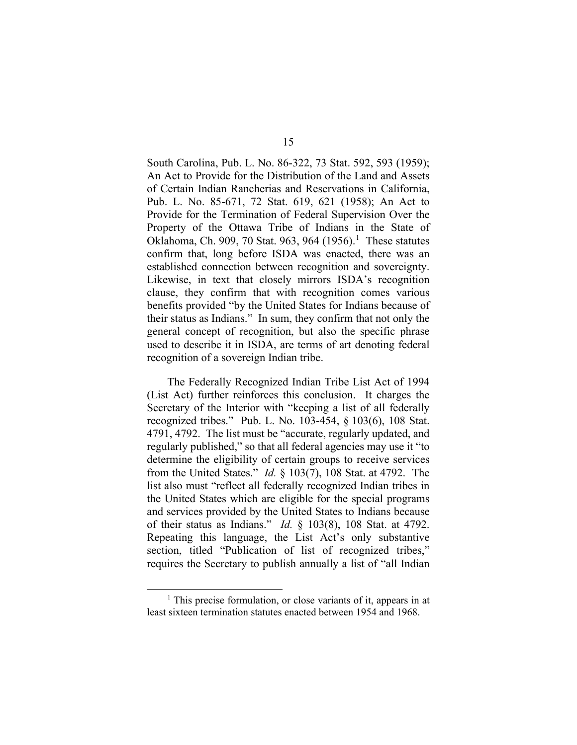South Carolina, Pub. L. No. 86-322, 73 Stat. 592, 593 (1959); An Act to Provide for the Distribution of the Land and Assets of Certain Indian Rancherias and Reservations in California, Pub. L. No. 85-671, 72 Stat. 619, 621 (1958); An Act to Provide for the Termination of Federal Supervision Over the Property of the Ottawa Tribe of Indians in the State of Oklahoma, Ch. 909, 70 Stat. 963, 964  $(1956)^1$  $(1956)^1$  $(1956)^1$  These statutes confirm that, long before ISDA was enacted, there was an established connection between recognition and sovereignty. Likewise, in text that closely mirrors ISDA's recognition clause, they confirm that with recognition comes various benefits provided "by the United States for Indians because of their status as Indians." In sum, they confirm that not only the general concept of recognition, but also the specific phrase used to describe it in ISDA, are terms of art denoting federal recognition of a sovereign Indian tribe.

The Federally Recognized Indian Tribe List Act of 1994 (List Act) further reinforces this conclusion. It charges the Secretary of the Interior with "keeping a list of all federally recognized tribes." Pub. L. No. 103-454, § 103(6), 108 Stat. 4791, 4792. The list must be "accurate, regularly updated, and regularly published," so that all federal agencies may use it "to determine the eligibility of certain groups to receive services from the United States." *Id.* § 103(7), 108 Stat. at 4792. The list also must "reflect all federally recognized Indian tribes in the United States which are eligible for the special programs and services provided by the United States to Indians because of their status as Indians." *Id.* § 103(8), 108 Stat. at 4792. Repeating this language, the List Act's only substantive section, titled "Publication of list of recognized tribes," requires the Secretary to publish annually a list of "all Indian

<span id="page-14-0"></span> $<sup>1</sup>$  This precise formulation, or close variants of it, appears in at</sup> least sixteen termination statutes enacted between 1954 and 1968.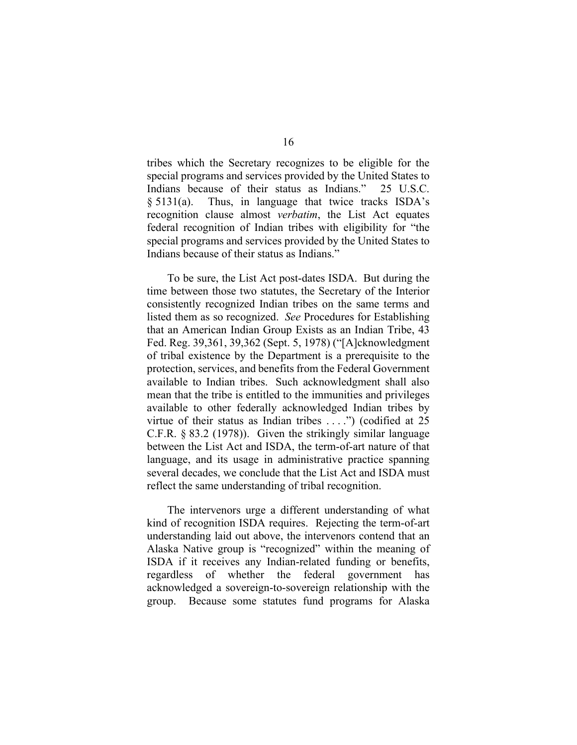tribes which the Secretary recognizes to be eligible for the special programs and services provided by the United States to Indians because of their status as Indians." 25 U.S.C. § 5131(a). Thus, in language that twice tracks ISDA's recognition clause almost *verbatim*, the List Act equates federal recognition of Indian tribes with eligibility for "the special programs and services provided by the United States to Indians because of their status as Indians."

To be sure, the List Act post-dates ISDA. But during the time between those two statutes, the Secretary of the Interior consistently recognized Indian tribes on the same terms and listed them as so recognized. *See* Procedures for Establishing that an American Indian Group Exists as an Indian Tribe, 43 Fed. Reg. 39,361, 39,362 (Sept. 5, 1978) ("[A]cknowledgment of tribal existence by the Department is a prerequisite to the protection, services, and benefits from the Federal Government available to Indian tribes. Such acknowledgment shall also mean that the tribe is entitled to the immunities and privileges available to other federally acknowledged Indian tribes by virtue of their status as Indian tribes . . . .") (codified at 25 C.F.R. § 83.2 (1978)). Given the strikingly similar language between the List Act and ISDA, the term-of-art nature of that language, and its usage in administrative practice spanning several decades, we conclude that the List Act and ISDA must reflect the same understanding of tribal recognition.

The intervenors urge a different understanding of what kind of recognition ISDA requires. Rejecting the term-of-art understanding laid out above, the intervenors contend that an Alaska Native group is "recognized" within the meaning of ISDA if it receives any Indian-related funding or benefits, regardless of whether the federal government has acknowledged a sovereign-to-sovereign relationship with the group. Because some statutes fund programs for Alaska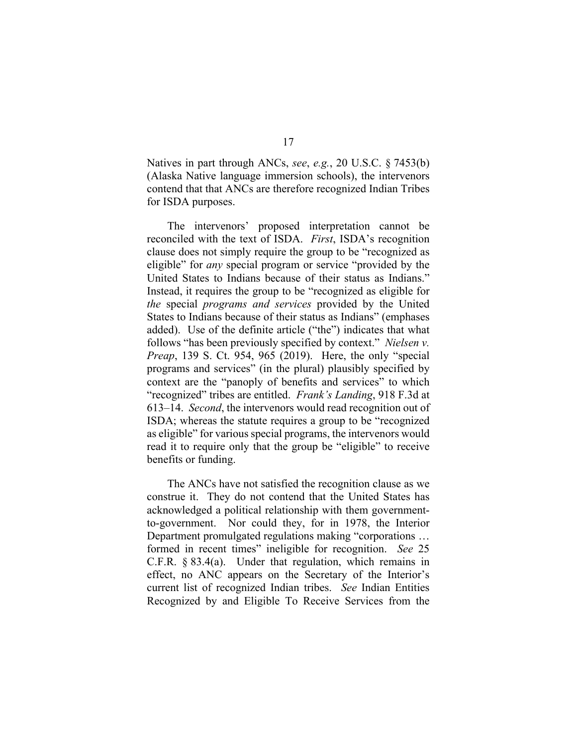Natives in part through ANCs, *see*, *e.g.*, 20 U.S.C. § 7453(b) (Alaska Native language immersion schools), the intervenors contend that that ANCs are therefore recognized Indian Tribes for ISDA purposes.

The intervenors' proposed interpretation cannot be reconciled with the text of ISDA. *First*, ISDA's recognition clause does not simply require the group to be "recognized as eligible" for *any* special program or service "provided by the United States to Indians because of their status as Indians." Instead, it requires the group to be "recognized as eligible for *the* special *programs and services* provided by the United States to Indians because of their status as Indians" (emphases added). Use of the definite article ("the") indicates that what follows "has been previously specified by context." *Nielsen v. Preap*, 139 S. Ct. 954, 965 (2019). Here, the only "special programs and services" (in the plural) plausibly specified by context are the "panoply of benefits and services" to which "recognized" tribes are entitled. *Frank's Landing*, 918 F.3d at 613–14. *Second*, the intervenors would read recognition out of ISDA; whereas the statute requires a group to be "recognized as eligible" for various special programs, the intervenors would read it to require only that the group be "eligible" to receive benefits or funding.

The ANCs have not satisfied the recognition clause as we construe it. They do not contend that the United States has acknowledged a political relationship with them governmentto-government. Nor could they, for in 1978, the Interior Department promulgated regulations making "corporations … formed in recent times" ineligible for recognition. *See* 25 C.F.R. § 83.4(a). Under that regulation, which remains in effect, no ANC appears on the Secretary of the Interior's current list of recognized Indian tribes. *See* Indian Entities Recognized by and Eligible To Receive Services from the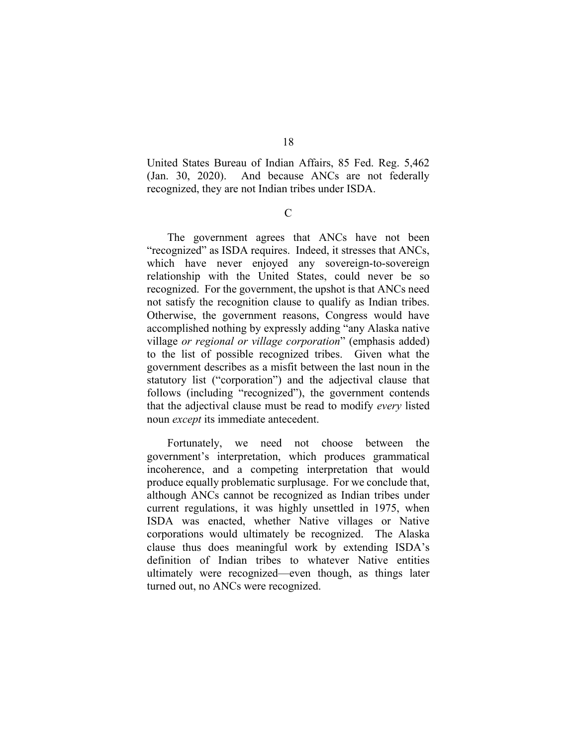United States Bureau of Indian Affairs, 85 Fed. Reg. 5,462 (Jan. 30, 2020). And because ANCs are not federally recognized, they are not Indian tribes under ISDA.

C

The government agrees that ANCs have not been "recognized" as ISDA requires. Indeed, it stresses that ANCs, which have never enjoyed any sovereign-to-sovereign relationship with the United States, could never be so recognized. For the government, the upshot is that ANCs need not satisfy the recognition clause to qualify as Indian tribes. Otherwise, the government reasons, Congress would have accomplished nothing by expressly adding "any Alaska native village *or regional or village corporation*" (emphasis added) to the list of possible recognized tribes. Given what the government describes as a misfit between the last noun in the statutory list ("corporation") and the adjectival clause that follows (including "recognized"), the government contends that the adjectival clause must be read to modify *every* listed noun *except* its immediate antecedent.

Fortunately, we need not choose between the government's interpretation, which produces grammatical incoherence, and a competing interpretation that would produce equally problematic surplusage. For we conclude that, although ANCs cannot be recognized as Indian tribes under current regulations, it was highly unsettled in 1975, when ISDA was enacted, whether Native villages or Native corporations would ultimately be recognized. The Alaska clause thus does meaningful work by extending ISDA's definition of Indian tribes to whatever Native entities ultimately were recognized—even though, as things later turned out, no ANCs were recognized.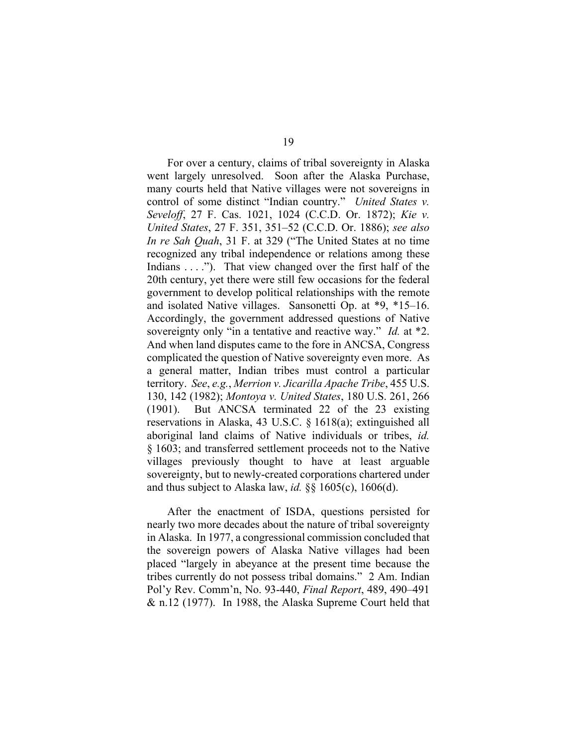For over a century, claims of tribal sovereignty in Alaska went largely unresolved. Soon after the Alaska Purchase, many courts held that Native villages were not sovereigns in control of some distinct "Indian country." *United States v. Seveloff*, 27 F. Cas. 1021, 1024 (C.C.D. Or. 1872); *Kie v. United States*, 27 F. 351, 351–52 (C.C.D. Or. 1886); *see also In re Sah Quah*, 31 F. at 329 ("The United States at no time recognized any tribal independence or relations among these Indians . . . ."). That view changed over the first half of the 20th century, yet there were still few occasions for the federal government to develop political relationships with the remote and isolated Native villages. Sansonetti Op. at \*9, \*15–16. Accordingly, the government addressed questions of Native sovereignty only "in a tentative and reactive way." *Id.* at \*2. And when land disputes came to the fore in ANCSA, Congress complicated the question of Native sovereignty even more. As a general matter, Indian tribes must control a particular territory. *See*, *e.g.*, *Merrion v. Jicarilla Apache Tribe*, 455 U.S. 130, 142 (1982); *Montoya v. United States*, 180 U.S. 261, 266 (1901). But ANCSA terminated 22 of the 23 existing reservations in Alaska, 43 U.S.C. § 1618(a); extinguished all aboriginal land claims of Native individuals or tribes, *id.* § 1603; and transferred settlement proceeds not to the Native villages previously thought to have at least arguable sovereignty, but to newly-created corporations chartered under and thus subject to Alaska law, *id.* §§ 1605(c), 1606(d).

After the enactment of ISDA, questions persisted for nearly two more decades about the nature of tribal sovereignty in Alaska. In 1977, a congressional commission concluded that the sovereign powers of Alaska Native villages had been placed "largely in abeyance at the present time because the tribes currently do not possess tribal domains." 2 Am. Indian Pol'y Rev. Comm'n, No. 93-440, *Final Report*, 489, 490–491 & n.12 (1977). In 1988, the Alaska Supreme Court held that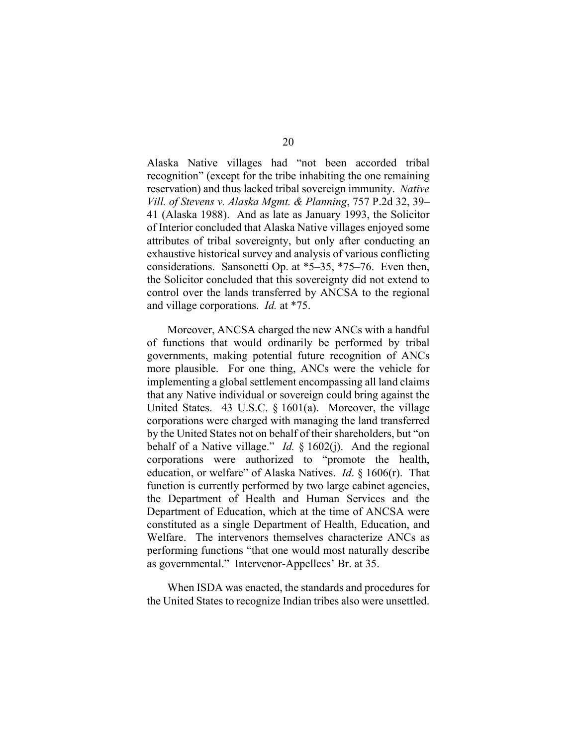Alaska Native villages had "not been accorded tribal recognition" (except for the tribe inhabiting the one remaining reservation) and thus lacked tribal sovereign immunity. *Native Vill. of Stevens v. Alaska Mgmt. & Planning*, 757 P.2d 32, 39– 41 (Alaska 1988). And as late as January 1993, the Solicitor of Interior concluded that Alaska Native villages enjoyed some attributes of tribal sovereignty, but only after conducting an exhaustive historical survey and analysis of various conflicting considerations. Sansonetti Op. at \*5–35, \*75–76. Even then, the Solicitor concluded that this sovereignty did not extend to control over the lands transferred by ANCSA to the regional and village corporations. *Id.* at \*75.

Moreover, ANCSA charged the new ANCs with a handful of functions that would ordinarily be performed by tribal governments, making potential future recognition of ANCs more plausible. For one thing, ANCs were the vehicle for implementing a global settlement encompassing all land claims that any Native individual or sovereign could bring against the United States. 43 U.S.C. § 1601(a). Moreover, the village corporations were charged with managing the land transferred by the United States not on behalf of their shareholders, but "on behalf of a Native village." *Id.* § 1602(j). And the regional corporations were authorized to "promote the health, education, or welfare" of Alaska Natives. *Id*. § 1606(r). That function is currently performed by two large cabinet agencies, the Department of Health and Human Services and the Department of Education, which at the time of ANCSA were constituted as a single Department of Health, Education, and Welfare. The intervenors themselves characterize ANCs as performing functions "that one would most naturally describe as governmental." Intervenor-Appellees' Br. at 35.

When ISDA was enacted, the standards and procedures for the United States to recognize Indian tribes also were unsettled.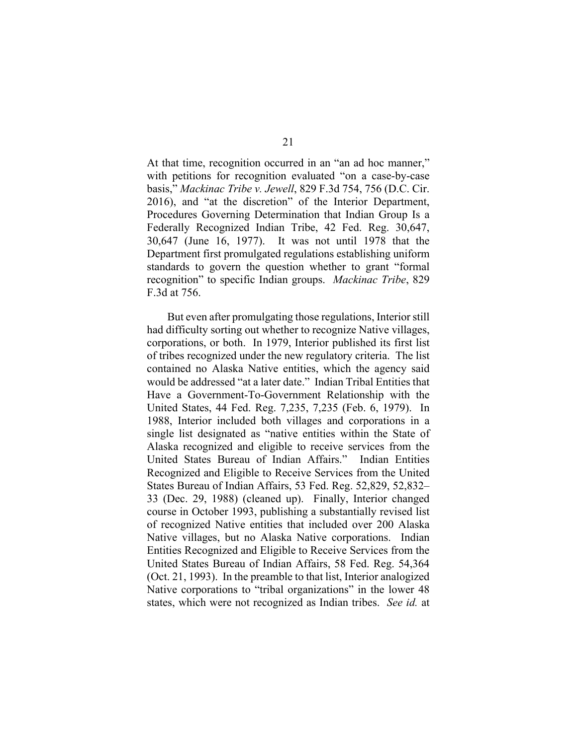At that time, recognition occurred in an "an ad hoc manner," with petitions for recognition evaluated "on a case-by-case basis," *Mackinac Tribe v. Jewell*, 829 F.3d 754, 756 (D.C. Cir. 2016), and "at the discretion" of the Interior Department, Procedures Governing Determination that Indian Group Is a Federally Recognized Indian Tribe, 42 Fed. Reg. 30,647, 30,647 (June 16, 1977). It was not until 1978 that the Department first promulgated regulations establishing uniform standards to govern the question whether to grant "formal recognition" to specific Indian groups. *Mackinac Tribe*, 829 F.3d at 756.

But even after promulgating those regulations, Interior still had difficulty sorting out whether to recognize Native villages, corporations, or both. In 1979, Interior published its first list of tribes recognized under the new regulatory criteria. The list contained no Alaska Native entities, which the agency said would be addressed "at a later date." Indian Tribal Entities that Have a Government-To-Government Relationship with the United States, 44 Fed. Reg. 7,235, 7,235 (Feb. 6, 1979). In 1988, Interior included both villages and corporations in a single list designated as "native entities within the State of Alaska recognized and eligible to receive services from the United States Bureau of Indian Affairs." Indian Entities Recognized and Eligible to Receive Services from the United States Bureau of Indian Affairs, 53 Fed. Reg. 52,829, 52,832– 33 (Dec. 29, 1988) (cleaned up). Finally, Interior changed course in October 1993, publishing a substantially revised list of recognized Native entities that included over 200 Alaska Native villages, but no Alaska Native corporations. Indian Entities Recognized and Eligible to Receive Services from the United States Bureau of Indian Affairs, 58 Fed. Reg. 54,364 (Oct. 21, 1993). In the preamble to that list, Interior analogized Native corporations to "tribal organizations" in the lower 48 states, which were not recognized as Indian tribes. *See id.* at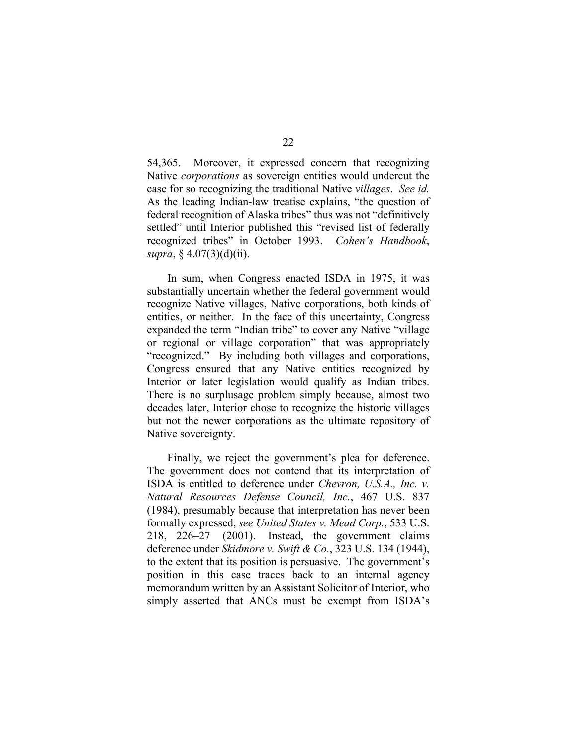54,365. Moreover, it expressed concern that recognizing Native *corporations* as sovereign entities would undercut the case for so recognizing the traditional Native *villages*. *See id.* As the leading Indian-law treatise explains, "the question of federal recognition of Alaska tribes" thus was not "definitively settled" until Interior published this "revised list of federally recognized tribes" in October 1993. *Cohen's Handbook*, *supra*, § 4.07(3)(d)(ii).

In sum, when Congress enacted ISDA in 1975, it was substantially uncertain whether the federal government would recognize Native villages, Native corporations, both kinds of entities, or neither. In the face of this uncertainty, Congress expanded the term "Indian tribe" to cover any Native "village or regional or village corporation" that was appropriately "recognized." By including both villages and corporations, Congress ensured that any Native entities recognized by Interior or later legislation would qualify as Indian tribes. There is no surplusage problem simply because, almost two decades later, Interior chose to recognize the historic villages but not the newer corporations as the ultimate repository of Native sovereignty.

Finally, we reject the government's plea for deference. The government does not contend that its interpretation of ISDA is entitled to deference under *Chevron, U.S.A., Inc. v. Natural Resources Defense Council, Inc.*, 467 U.S. 837 (1984), presumably because that interpretation has never been formally expressed, *see United States v. Mead Corp.*, 533 U.S. 218, 226–27 (2001). Instead, the government claims deference under *Skidmore v. Swift & Co.*, 323 U.S. 134 (1944), to the extent that its position is persuasive. The government's position in this case traces back to an internal agency memorandum written by an Assistant Solicitor of Interior, who simply asserted that ANCs must be exempt from ISDA's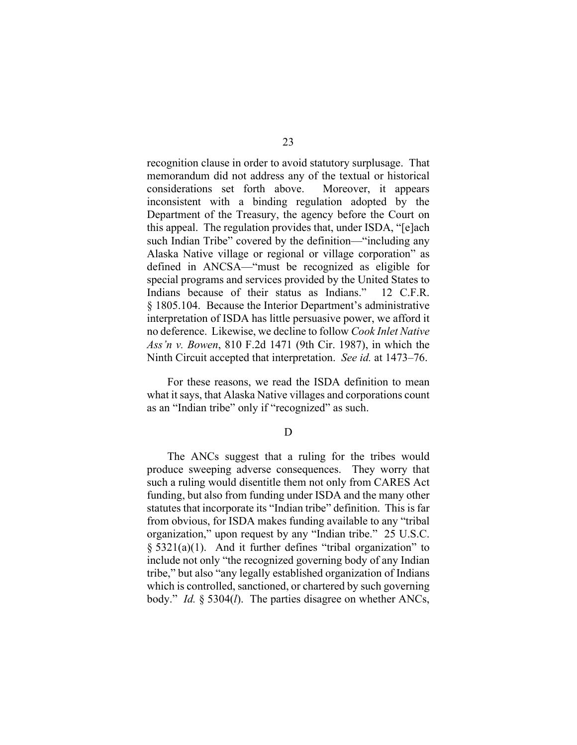recognition clause in order to avoid statutory surplusage. That memorandum did not address any of the textual or historical considerations set forth above. Moreover, it appears inconsistent with a binding regulation adopted by the Department of the Treasury, the agency before the Court on this appeal. The regulation provides that, under ISDA, "[e]ach such Indian Tribe" covered by the definition—"including any Alaska Native village or regional or village corporation" as defined in ANCSA—"must be recognized as eligible for special programs and services provided by the United States to Indians because of their status as Indians." 12 C.F.R. § 1805.104. Because the Interior Department's administrative interpretation of ISDA has little persuasive power, we afford it no deference. Likewise, we decline to follow *Cook Inlet Native Ass'n v. Bowen*, 810 F.2d 1471 (9th Cir. 1987), in which the Ninth Circuit accepted that interpretation. *See id.* at 1473–76.

For these reasons, we read the ISDA definition to mean what it says, that Alaska Native villages and corporations count as an "Indian tribe" only if "recognized" as such.

D

The ANCs suggest that a ruling for the tribes would produce sweeping adverse consequences. They worry that such a ruling would disentitle them not only from CARES Act funding, but also from funding under ISDA and the many other statutes that incorporate its "Indian tribe" definition. This is far from obvious, for ISDA makes funding available to any "tribal organization," upon request by any "Indian tribe." 25 U.S.C.  $\S$  5321(a)(1). And it further defines "tribal organization" to include not only "the recognized governing body of any Indian tribe," but also "any legally established organization of Indians which is controlled, sanctioned, or chartered by such governing body." *Id.* § 5304(*l*). The parties disagree on whether ANCs,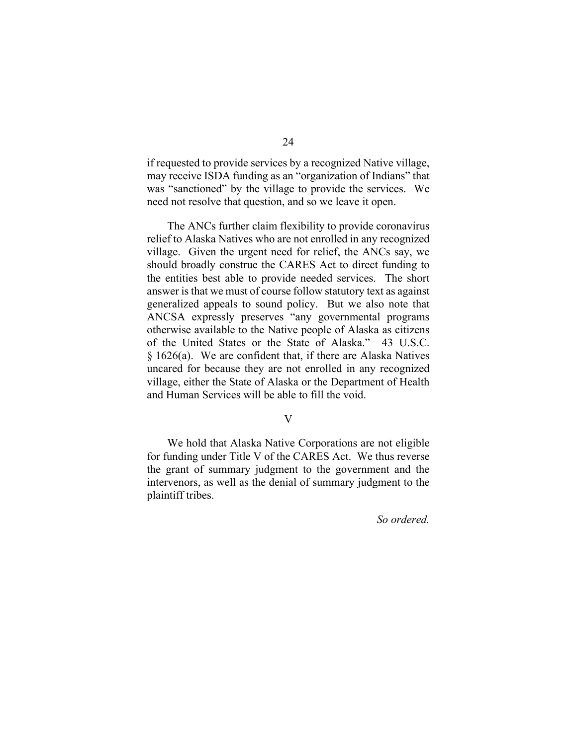if requested to provide services by a recognized Native village, may receive ISDA funding as an "organization of Indians" that was "sanctioned" by the village to provide the services. We need not resolve that question, and so we leave it open.

The ANCs further claim flexibility to provide coronavirus relief to Alaska Natives who are not enrolled in any recognized village. Given the urgent need for relief, the ANCs say, we should broadly construe the CARES Act to direct funding to the entities best able to provide needed services. The short answer is that we must of course follow statutory text as against generalized appeals to sound policy. But we also note that ANCSA expressly preserves "any governmental programs otherwise available to the Native people of Alaska as citizens of the United States or the State of Alaska." 43 U.S.C. § 1626(a). We are confident that, if there are Alaska Natives uncared for because they are not enrolled in any recognized village, either the State of Alaska or the Department of Health and Human Services will be able to fill the void.

### V

We hold that Alaska Native Corporations are not eligible for funding under Title V of the CARES Act. We thus reverse the grant of summary judgment to the government and the intervenors, as well as the denial of summary judgment to the plaintiff tribes.

*So ordered.*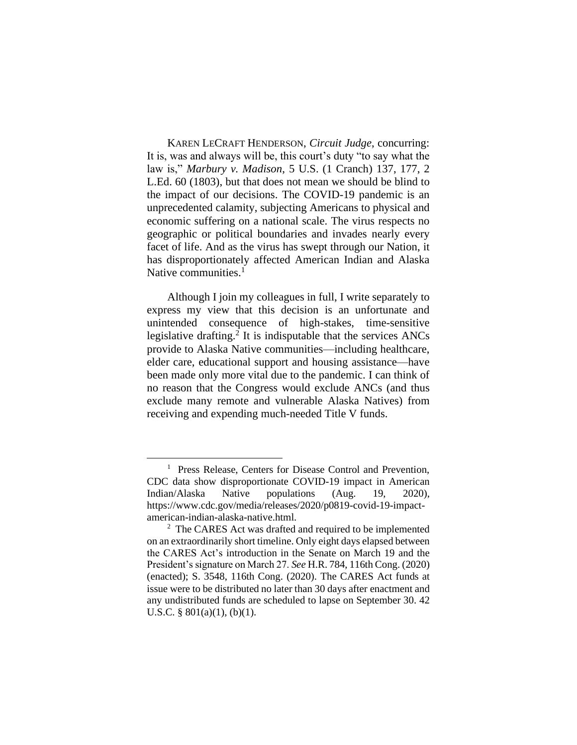KAREN LECRAFT HENDERSON, *Circuit Judge*, concurring: It is, was and always will be, this court's duty "to say what the law is," *Marbury v. Madison*, 5 U.S. (1 Cranch) 137, 177, 2 L.Ed. 60 (1803), but that does not mean we should be blind to the impact of our decisions. The COVID-19 pandemic is an unprecedented calamity, subjecting Americans to physical and economic suffering on a national scale. The virus respects no geographic or political boundaries and invades nearly every facet of life. And as the virus has swept through our Nation, it has disproportionately affected American Indian and Alaska Native communities.<sup>1</sup>

Although I join my colleagues in full, I write separately to express my view that this decision is an unfortunate and unintended consequence of high-stakes, time-sensitive legislative drafting.<sup>2</sup> It is indisputable that the services ANCs provide to Alaska Native communities—including healthcare, elder care, educational support and housing assistance—have been made only more vital due to the pandemic. I can think of no reason that the Congress would exclude ANCs (and thus exclude many remote and vulnerable Alaska Natives) from receiving and expending much-needed Title V funds.

<sup>&</sup>lt;sup>1</sup> Press Release, Centers for Disease Control and Prevention, CDC data show disproportionate COVID-19 impact in American Indian/Alaska Native populations (Aug. 19, 2020), https://www.cdc.gov/media/releases/2020/p0819-covid-19-impactamerican-indian-alaska-native.html.

<sup>&</sup>lt;sup>2</sup> The CARES Act was drafted and required to be implemented on an extraordinarily short timeline. Only eight days elapsed between the CARES Act's introduction in the Senate on March 19 and the President's signature on March 27. *See* H.R. 784, 116th Cong. (2020) (enacted); S. 3548, 116th Cong. (2020). The CARES Act funds at issue were to be distributed no later than 30 days after enactment and any undistributed funds are scheduled to lapse on September 30. 42 U.S.C. § 801(a)(1), (b)(1).